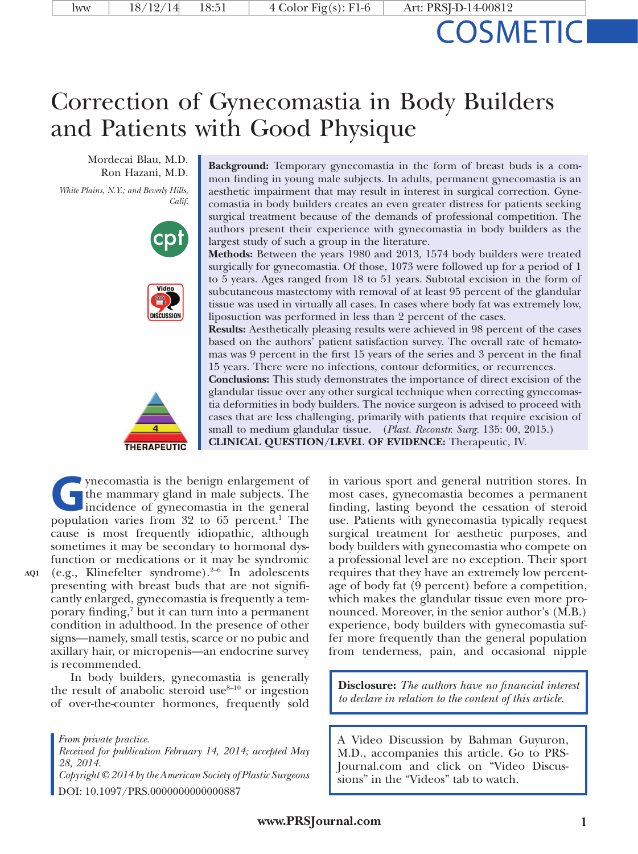lww | 18/12/14 18:51 | 4 Color Fig(s): F1-6 | Art: PRSJ-D-14-00812

**COSMETIC** 

# Correction of Gynecomastia in Body Builders and Patients with Good Physique

Mordecai Blau, M.D. Ron Hazani, M.D.

*White Plains, N.Y.; and Beverly Hills, Calif.*

**Background:** Temporary gynecomastia in the form of breast buds is a common finding in young male subjects. In adults, permanent gynecomastia is an aesthetic impairment that may result in interest in surgical correction. Gynecomastia in body builders creates an even greater distress for patients seeking surgical treatment because of the demands of professional competition. The authors present their experience with gynecomastia in body builders as the largest study of such a group in the literature.

**Methods:** Between the years 1980 and 2013, 1574 body builders were treated surgically for gynecomastia. Of those, 1073 were followed up for a period of 1 to 5 years. Ages ranged from 18 to 51 years. Subtotal excision in the form of subcutaneous mastectomy with removal of at least 95 percent of the glandular tissue was used in virtually all cases. In cases where body fat was extremely low, liposuction was performed in less than 2 percent of the cases.

**Results:** Aesthetically pleasing results were achieved in 98 percent of the cases based on the authors' patient satisfaction survey. The overall rate of hematomas was 9 percent in the first 15 years of the series and 3 percent in the final 15 years. There were no infections, contour deformities, or recurrences.

**Conclusions:** This study demonstrates the importance of direct excision of the glandular tissue over any other surgical technique when correcting gynecomastia deformities in body builders. The novice surgeon is advised to proceed with cases that are less challenging, primarily with patients that require excision of small to medium glandular tissue. (*Plast. Reconstr. Surg.* 135: 00, 2015.) **CLINICAL QUESTION/LEVEL OF EVIDENCE:** Therapeutic, IV.

Improvemastia is the benign enlargement of<br>
the mammary gland in male subjects. The<br>
incidence of gynecomastia in the general<br>
population varies from <sup>39</sup> to 65 percent<sup>1</sup> The the mammary gland in male subjects. The population varies from 32 to 65 percent.<sup>1</sup> The cause is most frequently idiopathic, although sometimes it may be secondary to hormonal dysfunction or medications or it may be syndromic (e.g., Klinefelter syndrome).2–6 In adolescents presenting with breast buds that are not significantly enlarged, gynecomastia is frequently a temporary finding,7 but it can turn into a permanent condition in adulthood. In the presence of other signs—namely, small testis, scarce or no pubic and axillary hair, or micropenis—an endocrine survey is recommended.

In body builders, gynecomastia is generally the result of anabolic steroid use $8-10$  or ingestion of over-the-counter hormones, frequently sold

*From private practice.* 

*Received for publication February 14, 2014; accepted May 28, 2014.*

*Copyright © 2014 by the American Society of Plastic Surgeons* DOI: 10.1097/PRS.0000000000000887

in various sport and general nutrition stores. In most cases, gynecomastia becomes a permanent finding, lasting beyond the cessation of steroid use. Patients with gynecomastia typically request surgical treatment for aesthetic purposes, and body builders with gynecomastia who compete on a professional level are no exception. Their sport requires that they have an extremely low percentage of body fat (9 percent) before a competition, which makes the glandular tissue even more pronounced. Moreover, in the senior author's (M.B.) experience, body builders with gynecomastia suffer more frequently than the general population from tenderness, pain, and occasional nipple

**Disclosure:** *The authors have no financial interest to declare in relation to the content of this article.*

A Video Discussion by Bahman Guyuron, M.D., accompanies this article. Go to PRS-Journal.com and click on "Video Discussions" in the "Videos" tab to watch.



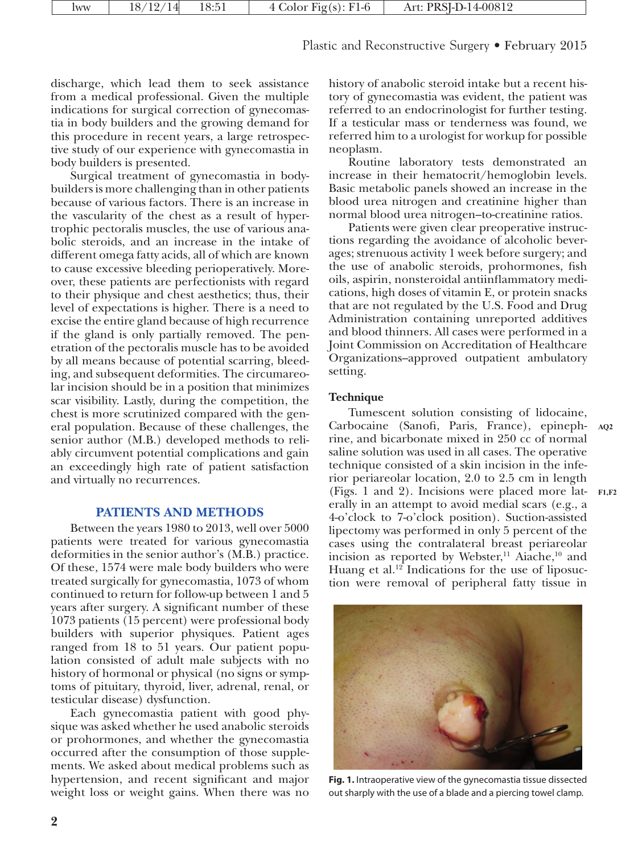| lww | $18/12/14$ 18:51 | 4 Color Fig(s): $F1-6$ | Art: PRSJ-D-14-00812 |  |
|-----|------------------|------------------------|----------------------|--|
|     |                  |                        |                      |  |

discharge, which lead them to seek assistance from a medical professional. Given the multiple indications for surgical correction of gynecomastia in body builders and the growing demand for this procedure in recent years, a large retrospective study of our experience with gynecomastia in body builders is presented.

Surgical treatment of gynecomastia in bodybuilders is more challenging than in other patients because of various factors. There is an increase in the vascularity of the chest as a result of hypertrophic pectoralis muscles, the use of various anabolic steroids, and an increase in the intake of different omega fatty acids, all of which are known to cause excessive bleeding perioperatively. Moreover, these patients are perfectionists with regard to their physique and chest aesthetics; thus, their level of expectations is higher. There is a need to excise the entire gland because of high recurrence if the gland is only partially removed. The penetration of the pectoralis muscle has to be avoided by all means because of potential scarring, bleeding, and subsequent deformities. The circumareolar incision should be in a position that minimizes scar visibility. Lastly, during the competition, the chest is more scrutinized compared with the general population. Because of these challenges, the senior author (M.B.) developed methods to reliably circumvent potential complications and gain an exceedingly high rate of patient satisfaction and virtually no recurrences.

#### **PATIENTS AND METHODS**

Between the years 1980 to 2013, well over 5000 patients were treated for various gynecomastia deformities in the senior author's (M.B.) practice. Of these, 1574 were male body builders who were treated surgically for gynecomastia, 1073 of whom continued to return for follow-up between 1 and 5 years after surgery. A significant number of these 1073 patients (15 percent) were professional body builders with superior physiques. Patient ages ranged from 18 to 51 years. Our patient population consisted of adult male subjects with no history of hormonal or physical (no signs or symptoms of pituitary, thyroid, liver, adrenal, renal, or testicular disease) dysfunction.

Each gynecomastia patient with good physique was asked whether he used anabolic steroids or prohormones, and whether the gynecomastia occurred after the consumption of those supplements. We asked about medical problems such as hypertension, and recent significant and major weight loss or weight gains. When there was no

history of anabolic steroid intake but a recent history of gynecomastia was evident, the patient was referred to an endocrinologist for further testing. If a testicular mass or tenderness was found, we referred him to a urologist for workup for possible neoplasm.

Routine laboratory tests demonstrated an increase in their hematocrit/hemoglobin levels. Basic metabolic panels showed an increase in the blood urea nitrogen and creatinine higher than normal blood urea nitrogen–to-creatinine ratios.

Patients were given clear preoperative instructions regarding the avoidance of alcoholic beverages; strenuous activity 1 week before surgery; and the use of anabolic steroids, prohormones, fish oils, aspirin, nonsteroidal antiinflammatory medications, high doses of vitamin E, or protein snacks that are not regulated by the U.S. Food and Drug Administration containing unreported additives and blood thinners. All cases were performed in a Joint Commission on Accreditation of Healthcare Organizations–approved outpatient ambulatory setting.

#### **Technique**

Tumescent solution consisting of lidocaine, Carbocaine (Sanofi, Paris, France), epineph-**AQ2** rine, and bicarbonate mixed in 250 cc of normal saline solution was used in all cases. The operative technique consisted of a skin incision in the inferior periareolar location, 2.0 to 2.5 cm in length (Figs. 1 and 2). Incisions were placed more lat-**F1,F2** erally in an attempt to avoid medial scars (e.g., a 4-o'clock to 7-o'clock position). Suction-assisted lipectomy was performed in only 5 percent of the cases using the contralateral breast periareolar incision as reported by Webster,<sup>11</sup> Aiache,<sup>10</sup> and Huang et al.<sup>12</sup> Indications for the use of liposuction were removal of peripheral fatty tissue in



**Fig. 1.** Intraoperative view of the gynecomastia tissue dissected out sharply with the use of a blade and a piercing towel clamp.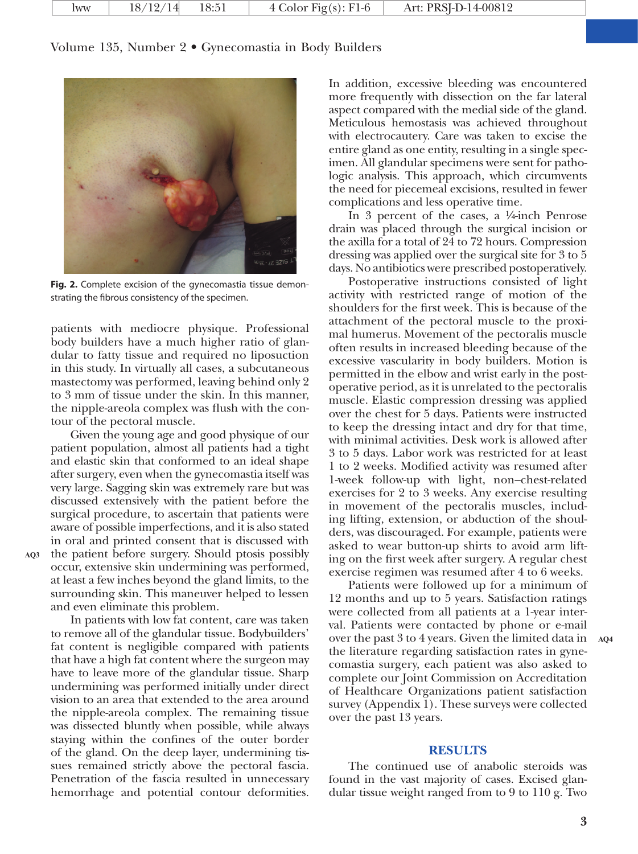| IWW | $(10^{-17})$ | $19.5^\circ$<br>10.0 | $\sim$<br>$\sqrt{ }$<br>Color<br>$r_{1g}(s)$ :<br>F 1-0 | D-14-00812<br><b>DDCI</b> D<br>Art:<br>$\Gamma$ Kol-D-1 $\degree$ |  |
|-----|--------------|----------------------|---------------------------------------------------------|-------------------------------------------------------------------|--|
|     |              |                      |                                                         |                                                                   |  |



**Fig. 2.** Complete excision of the gynecomastia tissue demonstrating the fibrous consistency of the specimen.

patients with mediocre physique. Professional body builders have a much higher ratio of glandular to fatty tissue and required no liposuction in this study. In virtually all cases, a subcutaneous mastectomy was performed, leaving behind only 2 to 3 mm of tissue under the skin. In this manner, the nipple-areola complex was flush with the contour of the pectoral muscle.

Given the young age and good physique of our patient population, almost all patients had a tight and elastic skin that conformed to an ideal shape after surgery, even when the gynecomastia itself was very large. Sagging skin was extremely rare but was discussed extensively with the patient before the surgical procedure, to ascertain that patients were aware of possible imperfections, and it is also stated in oral and printed consent that is discussed with the patient before surgery. Should ptosis possibly occur, extensive skin undermining was performed, at least a few inches beyond the gland limits, to the surrounding skin. This maneuver helped to lessen and even eliminate this problem.

In patients with low fat content, care was taken to remove all of the glandular tissue. Bodybuilders' fat content is negligible compared with patients that have a high fat content where the surgeon may have to leave more of the glandular tissue. Sharp undermining was performed initially under direct vision to an area that extended to the area around the nipple-areola complex. The remaining tissue was dissected bluntly when possible, while always staying within the confines of the outer border of the gland. On the deep layer, undermining tissues remained strictly above the pectoral fascia. Penetration of the fascia resulted in unnecessary hemorrhage and potential contour deformities.

In addition, excessive bleeding was encountered more frequently with dissection on the far lateral aspect compared with the medial side of the gland. Meticulous hemostasis was achieved throughout with electrocautery. Care was taken to excise the entire gland as one entity, resulting in a single specimen. All glandular specimens were sent for pathologic analysis. This approach, which circumvents the need for piecemeal excisions, resulted in fewer complications and less operative time.

In 3 percent of the cases, a ¼-inch Penrose drain was placed through the surgical incision or the axilla for a total of 24 to 72 hours. Compression dressing was applied over the surgical site for 3 to 5 days. No antibiotics were prescribed postoperatively.

Postoperative instructions consisted of light activity with restricted range of motion of the shoulders for the first week. This is because of the attachment of the pectoral muscle to the proximal humerus. Movement of the pectoralis muscle often results in increased bleeding because of the excessive vascularity in body builders. Motion is permitted in the elbow and wrist early in the postoperative period, as it is unrelated to the pectoralis muscle. Elastic compression dressing was applied over the chest for 5 days. Patients were instructed to keep the dressing intact and dry for that time, with minimal activities. Desk work is allowed after 3 to 5 days. Labor work was restricted for at least 1 to 2 weeks. Modified activity was resumed after 1-week follow-up with light, non–chest-related exercises for 2 to 3 weeks. Any exercise resulting in movement of the pectoralis muscles, including lifting, extension, or abduction of the shoulders, was discouraged. For example, patients were asked to wear button-up shirts to avoid arm lifting on the first week after surgery. A regular chest exercise regimen was resumed after 4 to 6 weeks.

Patients were followed up for a minimum of 12 months and up to 5 years. Satisfaction ratings were collected from all patients at a 1-year interval. Patients were contacted by phone or e-mail over the past 3 to 4 years. Given the limited data in the literature regarding satisfaction rates in gynecomastia surgery, each patient was also asked to complete our Joint Commission on Accreditation of Healthcare Organizations patient satisfaction survey (Appendix 1). These surveys were collected over the past 13 years.

#### **RESULTS**

The continued use of anabolic steroids was found in the vast majority of cases. Excised glandular tissue weight ranged from to 9 to 110 g. Two

**AQ3**

**AQ4**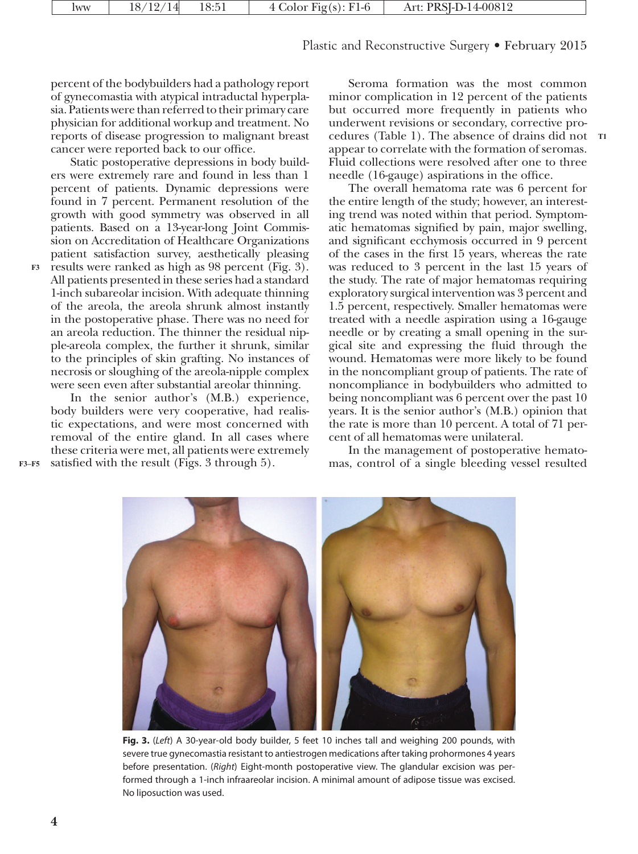| <b>Iww</b> | $18/12/14$ 18:51 | 4 Color Fig(s): $F1-6$ | Art: PRSJ-D-14-00812 |
|------------|------------------|------------------------|----------------------|
|            |                  |                        |                      |

percent of the bodybuilders had a pathology report of gynecomastia with atypical intraductal hyperplasia. Patients were than referred to their primary care physician for additional workup and treatment. No reports of disease progression to malignant breast cancer were reported back to our office.

Static postoperative depressions in body builders were extremely rare and found in less than 1 percent of patients. Dynamic depressions were found in 7 percent. Permanent resolution of the growth with good symmetry was observed in all patients. Based on a 13-year-long Joint Commission on Accreditation of Healthcare Organizations patient satisfaction survey, aesthetically pleasing

results were ranked as high as 98 percent (Fig. 3). All patients presented in these series had a standard 1-inch subareolar incision. With adequate thinning of the areola, the areola shrunk almost instantly in the postoperative phase. There was no need for an areola reduction. The thinner the residual nipple-areola complex, the further it shrunk, similar to the principles of skin grafting. No instances of necrosis or sloughing of the areola-nipple complex were seen even after substantial areolar thinning. **F3**

In the senior author's (M.B.) experience, body builders were very cooperative, had realistic expectations, and were most concerned with removal of the entire gland. In all cases where these criteria were met, all patients were extremely satisfied with the result (Figs. 3 through 5).

Seroma formation was the most common minor complication in 12 percent of the patients but occurred more frequently in patients who underwent revisions or secondary, corrective procedures (Table 1). The absence of drains did not **T1** appear to correlate with the formation of seromas. Fluid collections were resolved after one to three needle (16-gauge) aspirations in the office.

The overall hematoma rate was 6 percent for the entire length of the study; however, an interesting trend was noted within that period. Symptomatic hematomas signified by pain, major swelling, and significant ecchymosis occurred in 9 percent of the cases in the first 15 years, whereas the rate was reduced to 3 percent in the last 15 years of the study. The rate of major hematomas requiring exploratory surgical intervention was 3 percent and 1.5 percent, respectively. Smaller hematomas were treated with a needle aspiration using a 16-gauge needle or by creating a small opening in the surgical site and expressing the fluid through the wound. Hematomas were more likely to be found in the noncompliant group of patients. The rate of noncompliance in bodybuilders who admitted to being noncompliant was 6 percent over the past 10 years. It is the senior author's (M.B.) opinion that the rate is more than 10 percent. A total of 71 percent of all hematomas were unilateral.

In the management of postoperative hematomas, control of a single bleeding vessel resulted



**Fig. 3.** (*Left*) A 30-year-old body builder, 5 feet 10 inches tall and weighing 200 pounds, with severe true gynecomastia resistant to antiestrogen medications after taking prohormones 4 years before presentation. (*Right*) Eight-month postoperative view. The glandular excision was performed through a 1-inch infraareolar incision. A minimal amount of adipose tissue was excised. No liposuction was used.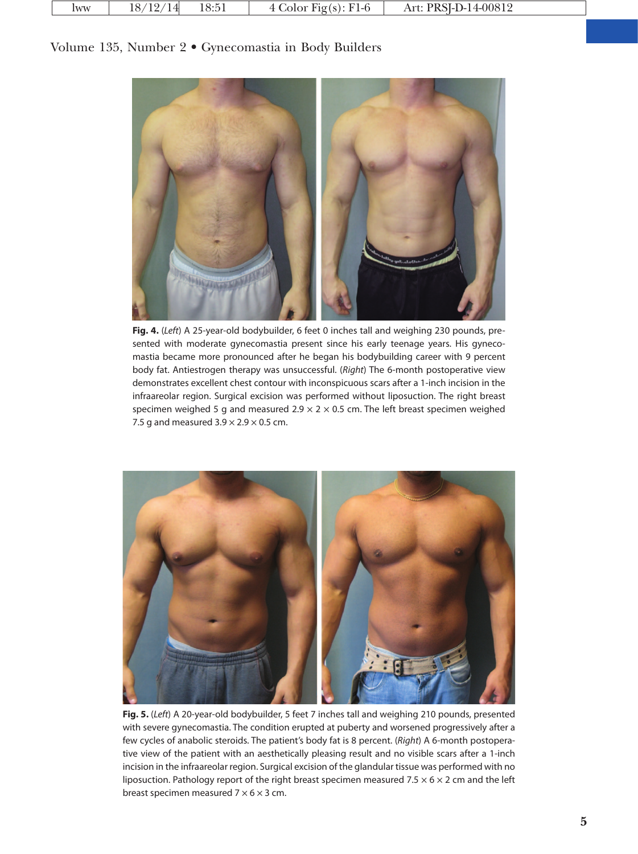|  | <b>IWM</b> | 18.<br>. | 18:51 | $\sim$<br>$\pm$ Color Fig(s):<br>$F-I$ | PRSI-D-14-00812<br>Art. |  |
|--|------------|----------|-------|----------------------------------------|-------------------------|--|
|--|------------|----------|-------|----------------------------------------|-------------------------|--|



**Fig. 4.** (*Left*) A 25-year-old bodybuilder, 6 feet 0 inches tall and weighing 230 pounds, presented with moderate gynecomastia present since his early teenage years. His gynecomastia became more pronounced after he began his bodybuilding career with 9 percent body fat. Antiestrogen therapy was unsuccessful. (*Right*) The 6-month postoperative view demonstrates excellent chest contour with inconspicuous scars after a 1-inch incision in the infraareolar region. Surgical excision was performed without liposuction. The right breast specimen weighed 5 g and measured  $2.9 \times 2 \times 0.5$  cm. The left breast specimen weighed 7.5 g and measured  $3.9 \times 2.9 \times 0.5$  cm.



**Fig. 5.** (*Left*) A 20-year-old bodybuilder, 5 feet 7 inches tall and weighing 210 pounds, presented with severe gynecomastia. The condition erupted at puberty and worsened progressively after a few cycles of anabolic steroids. The patient's body fat is 8 percent. (*Right*) A 6-month postoperative view of the patient with an aesthetically pleasing result and no visible scars after a 1-inch incision in the infraareolar region. Surgical excision of the glandular tissue was performed with no liposuction. Pathology report of the right breast specimen measured 7.5  $\times$  6  $\times$  2 cm and the left breast specimen measured  $7 \times 6 \times 3$  cm.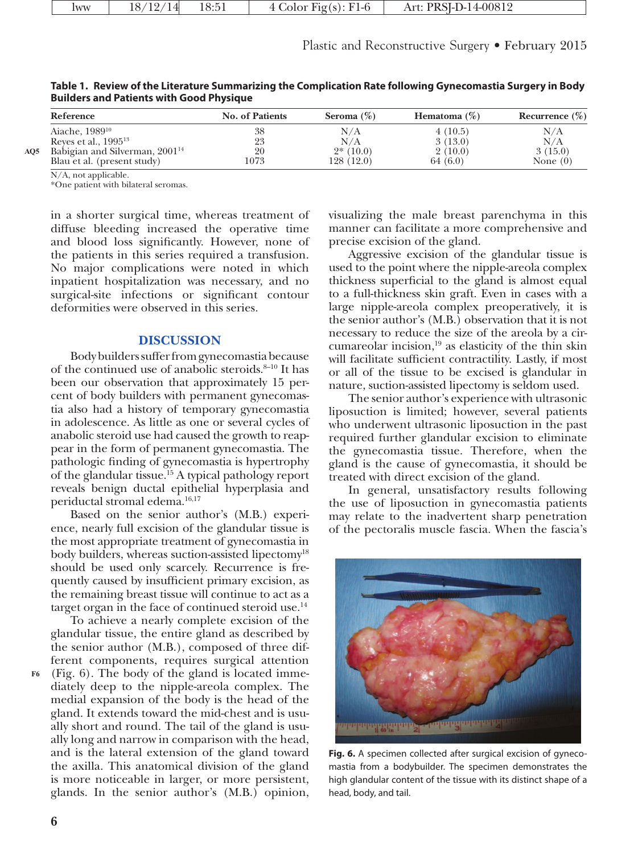| lww | 18/12/14 | 18:51 | 4 Color Fig(s): $F1-6$ | Art: PRSI-D-14-00812 |  |
|-----|----------|-------|------------------------|----------------------|--|
|-----|----------|-------|------------------------|----------------------|--|

| <b>Builders and Patients with Good Physique</b> | Table 1. Review of the Literature Summarizing the Complication Rate following Gynecomastia Surgery in Body |               |                 |                   |
|-------------------------------------------------|------------------------------------------------------------------------------------------------------------|---------------|-----------------|-------------------|
| Reference                                       | No of Patients                                                                                             | Seroma $(\%)$ | Hematoma $(\%)$ | Recurrence $(\%)$ |

| Reference                                  | <b>No. of Patients</b> | Seroma $(\%)$ | Hematoma $(\%)$ | Recurrence $(\% )$ |
|--------------------------------------------|------------------------|---------------|-----------------|--------------------|
| Aiache, 1989 <sup>10</sup>                 | 38                     | N/A           | 4(10.5)         | N/A                |
| Reves et al., $1995^{13}$                  | 23                     | N/A           | 3(13.0)         | N/A                |
| Babigian and Silverman, 2001 <sup>14</sup> | 20                     | $2*(10.0)$    | 2(10.0)         | 3(15.0)            |
| Blau et al. (present study)                | 1073                   | 128 (12.0)    | 64(6.0)         | None $(0)$         |

N/A, not applicable.

**AQ5**

\*One patient with bilateral seromas.

in a shorter surgical time, whereas treatment of diffuse bleeding increased the operative time and blood loss significantly. However, none of the patients in this series required a transfusion. No major complications were noted in which inpatient hospitalization was necessary, and no surgical-site infections or significant contour deformities were observed in this series.

#### **DISCUSSION**

Body builders suffer from gynecomastia because of the continued use of anabolic steroids.8–10 It has been our observation that approximately 15 percent of body builders with permanent gynecomastia also had a history of temporary gynecomastia in adolescence. As little as one or several cycles of anabolic steroid use had caused the growth to reappear in the form of permanent gynecomastia. The pathologic finding of gynecomastia is hypertrophy of the glandular tissue.15 A typical pathology report reveals benign ductal epithelial hyperplasia and periductal stromal edema.16,17

Based on the senior author's (M.B.) experience, nearly full excision of the glandular tissue is the most appropriate treatment of gynecomastia in body builders, whereas suction-assisted lipectomy<sup>18</sup> should be used only scarcely. Recurrence is frequently caused by insufficient primary excision, as the remaining breast tissue will continue to act as a target organ in the face of continued steroid use.14

To achieve a nearly complete excision of the glandular tissue, the entire gland as described by the senior author (M.B.), composed of three different components, requires surgical attention

(Fig. 6). The body of the gland is located immediately deep to the nipple-areola complex. The medial expansion of the body is the head of the gland. It extends toward the mid-chest and is usually short and round. The tail of the gland is usually long and narrow in comparison with the head, and is the lateral extension of the gland toward the axilla. This anatomical division of the gland is more noticeable in larger, or more persistent, glands. In the senior author's (M.B.) opinion, **F6**

visualizing the male breast parenchyma in this manner can facilitate a more comprehensive and precise excision of the gland.

Aggressive excision of the glandular tissue is used to the point where the nipple-areola complex thickness superficial to the gland is almost equal to a full-thickness skin graft. Even in cases with a large nipple-areola complex preoperatively, it is the senior author's (M.B.) observation that it is not necessary to reduce the size of the areola by a circumareolar incision,<sup>19</sup> as elasticity of the thin skin will facilitate sufficient contractility. Lastly, if most or all of the tissue to be excised is glandular in nature, suction-assisted lipectomy is seldom used.

The senior author's experience with ultrasonic liposuction is limited; however, several patients who underwent ultrasonic liposuction in the past required further glandular excision to eliminate the gynecomastia tissue. Therefore, when the gland is the cause of gynecomastia, it should be treated with direct excision of the gland.

In general, unsatisfactory results following the use of liposuction in gynecomastia patients may relate to the inadvertent sharp penetration of the pectoralis muscle fascia. When the fascia's



**Fig. 6.** A specimen collected after surgical excision of gynecomastia from a bodybuilder. The specimen demonstrates the high glandular content of the tissue with its distinct shape of a head, body, and tail.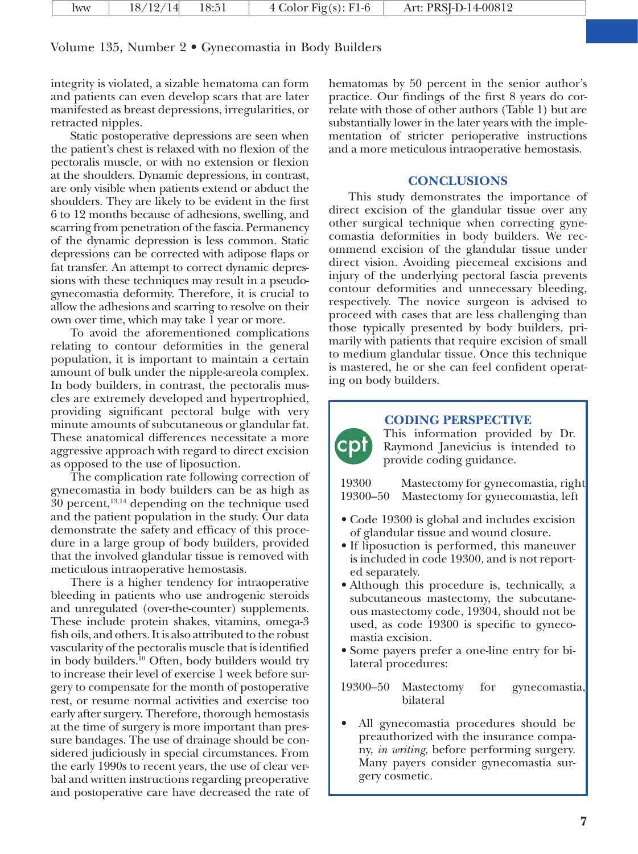|  | <b>TATTA</b><br>. | 19/14<br>187<br>$\blacksquare$ | . .<br>18:51 | $\sim$<br>$\sim$<br>$\sqrt{ }$<br>Color<br>$F1g(s)$ : F1-6 | PRSI-D-1<br>+00812<br>.<br>$\Delta L$ $\mathbf{L}$ |  |
|--|-------------------|--------------------------------|--------------|------------------------------------------------------------|----------------------------------------------------|--|
|--|-------------------|--------------------------------|--------------|------------------------------------------------------------|----------------------------------------------------|--|

integrity is violated, a sizable hematoma can form and patients can even develop scars that are later manifested as breast depressions, irregularities, or retracted nipples.

Static postoperative depressions are seen when the patient's chest is relaxed with no flexion of the pectoralis muscle, or with no extension or flexion at the shoulders. Dynamic depressions, in contrast, are only visible when patients extend or abduct the shoulders. They are likely to be evident in the first 6 to 12 months because of adhesions, swelling, and scarring from penetration of the fascia. Permanency of the dynamic depression is less common. Static depressions can be corrected with adipose flaps or fat transfer. An attempt to correct dynamic depressions with these techniques may result in a pseudogynecomastia deformity. Therefore, it is crucial to allow the adhesions and scarring to resolve on their own over time, which may take 1 year or more.

To avoid the aforementioned complications relating to contour deformities in the general population, it is important to maintain a certain amount of bulk under the nipple-areola complex. In body builders, in contrast, the pectoralis muscles are extremely developed and hypertrophied, providing significant pectoral bulge with very minute amounts of subcutaneous or glandular fat. These anatomical differences necessitate a more aggressive approach with regard to direct excision as opposed to the use of liposuction.

The complication rate following correction of gynecomastia in body builders can be as high as  $30$  percent,<sup>13,14</sup> depending on the technique used and the patient population in the study. Our data demonstrate the safety and efficacy of this procedure in a large group of body builders, provided that the involved glandular tissue is removed with meticulous intraoperative hemostasis.

There is a higher tendency for intraoperative bleeding in patients who use androgenic steroids and unregulated (over-the-counter) supplements. These include protein shakes, vitamins, omega-3 fish oils, and others. It is also attributed to the robust vascularity of the pectoralis muscle that is identified in body builders.<sup>10</sup> Often, body builders would try to increase their level of exercise 1 week before surgery to compensate for the month of postoperative rest, or resume normal activities and exercise too early after surgery. Therefore, thorough hemostasis at the time of surgery is more important than pressure bandages. The use of drainage should be considered judiciously in special circumstances. From the early 1990s to recent years, the use of clear verbal and written instructions regarding preoperative and postoperative care have decreased the rate of hematomas by 50 percent in the senior author's practice. Our findings of the first 8 years do correlate with those of other authors (Table 1) but are substantially lower in the later years with the implementation of stricter perioperative instructions and a more meticulous intraoperative hemostasis.

#### **CONCLUSIONS**

This study demonstrates the importance of direct excision of the glandular tissue over any other surgical technique when correcting gynecomastia deformities in body builders. We recommend excision of the glandular tissue under direct vision. Avoiding piecemeal excisions and injury of the underlying pectoral fascia prevents contour deformities and unnecessary bleeding, respectively. The novice surgeon is advised to proceed with cases that are less challenging than those typically presented by body builders, primarily with patients that require excision of small to medium glandular tissue. Once this technique is mastered, he or she can feel confident operating on body builders.



#### **CODING PERSPECTIVE**

This information provided by Dr. Raymond Janevicius is intended to provide coding guidance.

19300 Mastectomy for gynecomastia, right 19300–50 Mastectomy for gynecomastia, left

- Code 19300 is global and includes excision of glandular tissue and wound closure.
- If liposuction is performed, this maneuver is included in code 19300, and is not reported separately.
- Although this procedure is, technically, a subcutaneous mastectomy, the subcutaneous mastectomy code, 19304, should not be used, as code 19300 is specific to gynecomastia excision.
- Some payers prefer a one-line entry for bilateral procedures:

19300–50 Mastectomy for gynecomastia, bilateral

• All gynecomastia procedures should be preauthorized with the insurance company, *in writing*, before performing surgery. Many payers consider gynecomastia surgery cosmetic.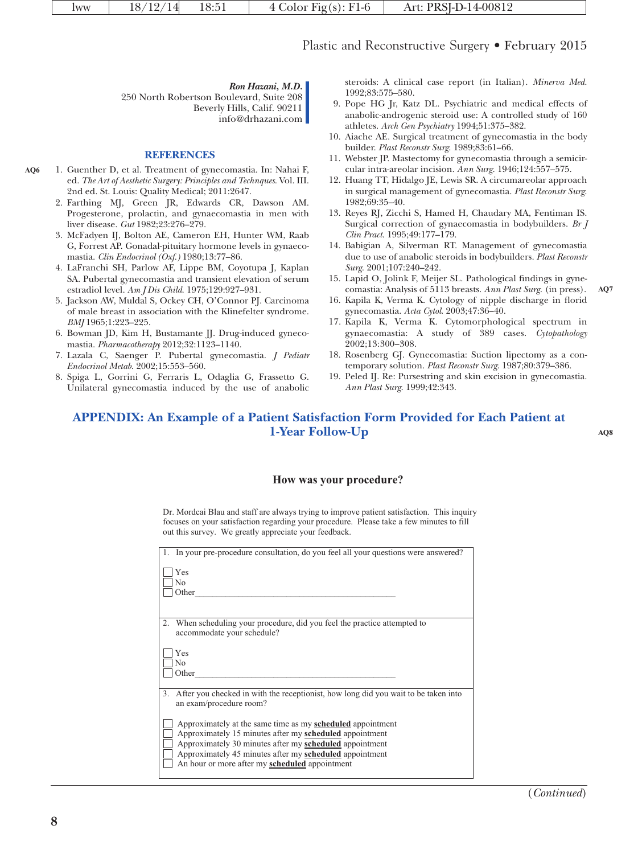| lww | $18/12/14$ 18:51 | 4 Color Fig(s): F1-6 | Art: PRSI-D-14-00812 |  |
|-----|------------------|----------------------|----------------------|--|
|     |                  |                      |                      |  |

*Ron Hazani, M.D.*

250 North Robertson Boulevard, Suite 208 Beverly Hills, Calif. 90211 [info@drhazani.com](mailto:info@drhazani.com)

#### **REFERENCES**

- 1. Guenther D, et al. Treatment of gynecomastia. In: Nahai F, ed. *The Art of Aesthetic Surgery: Principles and Technques*. Vol. III. 2nd ed. St. Louis: Quality Medical; 2011:2647. **AQ6**
	- 2. Farthing MJ, Green JR, Edwards CR, Dawson AM. Progesterone, prolactin, and gynaecomastia in men with liver disease. *Gut* 1982;23:276–279.
	- 3. McFadyen IJ, Bolton AE, Cameron EH, Hunter WM, Raab G, Forrest AP. Gonadal-pituitary hormone levels in gynaecomastia. *Clin Endocrinol (Oxf.)* 1980;13:77–86.
	- 4. LaFranchi SH, Parlow AF, Lippe BM, Coyotupa J, Kaplan SA. Pubertal gynecomastia and transient elevation of serum estradiol level. *Am J Dis Child*. 1975;129:927–931.
	- 5. Jackson AW, Muldal S, Ockey CH, O'Connor PJ. Carcinoma of male breast in association with the Klinefelter syndrome. *BMJ* 1965;1:223–225.
	- 6. Bowman JD, Kim H, Bustamante JJ. Drug-induced gynecomastia. *Pharmacotherapy* 2012;32:1123–1140.
	- 7. Lazala C, Saenger P. Pubertal gynecomastia. *J Pediatr Endocrinol Metab*. 2002;15:553–560.
	- 8. Spiga L, Gorrini G, Ferraris L, Odaglia G, Frassetto G. Unilateral gynecomastia induced by the use of anabolic

steroids: A clinical case report (in Italian). *Minerva Med*. 1992;83:575–580.

- 9. Pope HG Jr, Katz DL. Psychiatric and medical effects of anabolic-androgenic steroid use: A controlled study of 160 athletes. *Arch Gen Psychiatry* 1994;51:375–382.
- 10. Aiache AE. Surgical treatment of gynecomastia in the body builder. *Plast Reconstr Surg*. 1989;83:61–66.
- 11. Webster JP. Mastectomy for gynecomastia through a semicircular intra-areolar incision. *Ann Surg*. 1946;124:557–575.
- 12. Huang TT, Hidalgo JE, Lewis SR. A circumareolar approach in surgical management of gynecomastia. *Plast Reconstr Surg*. 1982;69:35–40.
- 13. Reyes RJ, Zicchi S, Hamed H, Chaudary MA, Fentiman IS. Surgical correction of gynaecomastia in bodybuilders. *Br J Clin Pract*. 1995;49:177–179.
- 14. Babigian A, Silverman RT. Management of gynecomastia due to use of anabolic steroids in bodybuilders. *Plast Reconstr Surg*. 2001;107:240–242.
- 15. Lapid O, Jolink F, Meijer SL. Pathological findings in gynecomastia: Analysis of 5113 breasts. *Ann Plast Surg*. (in press).
- 16. Kapila K, Verma K. Cytology of nipple discharge in florid gynecomastia. *Acta Cytol*. 2003;47:36–40.
- 17. Kapila K, Verma K. Cytomorphological spectrum in gynaecomastia: A study of 389 cases. *Cytopathology* 2002;13:300–308.
- 18. Rosenberg GJ. Gynecomastia: Suction lipectomy as a contemporary solution. *Plast Reconstr Surg*. 1987;80:379–386.
- 19. Peled IJ. Re: Pursestring and skin excision in gynecomastia. *Ann Plast Surg*. 1999;42:343.

## **APPENDIX: An Example of a Patient Satisfaction Form Provided for Each Patient at 1-Year Follow-Up AQ8**

**AQ7**

#### **How was your procedure?**

Dr. Mordcai Blau and staff are always trying to improve patient satisfaction. This inquiry focuses on your satisfaction regarding your procedure. Please take a few minutes to fill out this survey. We greatly appreciate your feedback.

| In your pre-procedure consultation, do you feel all your questions were answered?                                   |
|---------------------------------------------------------------------------------------------------------------------|
| Yes                                                                                                                 |
| No<br>Other                                                                                                         |
|                                                                                                                     |
|                                                                                                                     |
| When scheduling your procedure, did you feel the practice attempted to<br>2.<br>accommodate your schedule?          |
| Yes                                                                                                                 |
| No                                                                                                                  |
| Other                                                                                                               |
|                                                                                                                     |
| After you checked in with the receptionist, how long did you wait to be taken into<br>3.<br>an exam/procedure room? |
| Approximately at the same time as my <b>scheduled</b> appointment                                                   |
| Approximately 15 minutes after my scheduled appointment                                                             |
| Approximately 30 minutes after my <b>scheduled</b> appointment                                                      |
| Approximately 45 minutes after my scheduled appointment                                                             |
| An hour or more after my <b>scheduled</b> appointment                                                               |
|                                                                                                                     |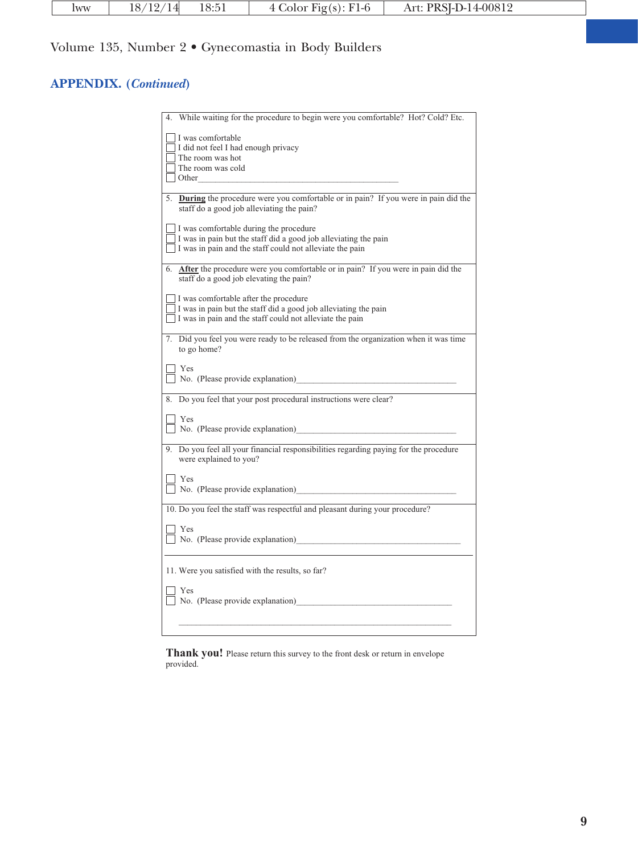|  | Iww | 71 Q 71<br>187<br>$\mathbf{14}$<br>$\overline{\phantom{a}}$ | $18:5^{\circ}$ | $\sim$<br>$\overline{\phantom{a}}$<br>$\sim$<br>$-4$ Color Fig(s).<br>$1 - 1$<br>$\sim$ | $-D-14-00812$<br>Art: PRST<br>$ -$ |  |
|--|-----|-------------------------------------------------------------|----------------|-----------------------------------------------------------------------------------------|------------------------------------|--|
|--|-----|-------------------------------------------------------------|----------------|-----------------------------------------------------------------------------------------|------------------------------------|--|

## **APPENDIX. (***Continued***)**

| 4. While waiting for the procedure to begin were you comfortable? Hot? Cold? Etc.                                                                                     |
|-----------------------------------------------------------------------------------------------------------------------------------------------------------------------|
| I was comfortable<br>I did not feel I had enough privacy<br>The room was hot<br>The room was cold<br>Other                                                            |
| 5. During the procedure were you comfortable or in pain? If you were in pain did the<br>staff do a good job alleviating the pain?                                     |
| I was comfortable during the procedure<br>I was in pain but the staff did a good job alleviating the pain<br>I was in pain and the staff could not alleviate the pain |
| 6. After the procedure were you comfortable or in pain? If you were in pain did the<br>staff do a good job elevating the pain?                                        |
| I was comfortable after the procedure<br>I was in pain but the staff did a good job alleviating the pain<br>I was in pain and the staff could not alleviate the pain  |
| 7. Did you feel you were ready to be released from the organization when it was time<br>to go home?                                                                   |
| Yes                                                                                                                                                                   |
| 8. Do you feel that your post procedural instructions were clear?                                                                                                     |
| Yes                                                                                                                                                                   |
| 9. Do you feel all your financial responsibilities regarding paying for the procedure<br>were explained to you?                                                       |
| Yes<br>No. (Please provide explanation)<br><u> 1980 - Jan Barbara, martin da basar da basar da basar da basar da basar da basar da basar da basar da basar</u>        |
| 10. Do you feel the staff was respectful and pleasant during your procedure?                                                                                          |
| Yes<br>No. (Please provide explanation) No. (Please provide explanation)                                                                                              |
| 11. Were you satisfied with the results, so far?                                                                                                                      |
| Yes<br>No. (Please provide explanation)                                                                                                                               |
|                                                                                                                                                                       |

**Thank you!** Please return this survey to the front desk or return in envelope provided.